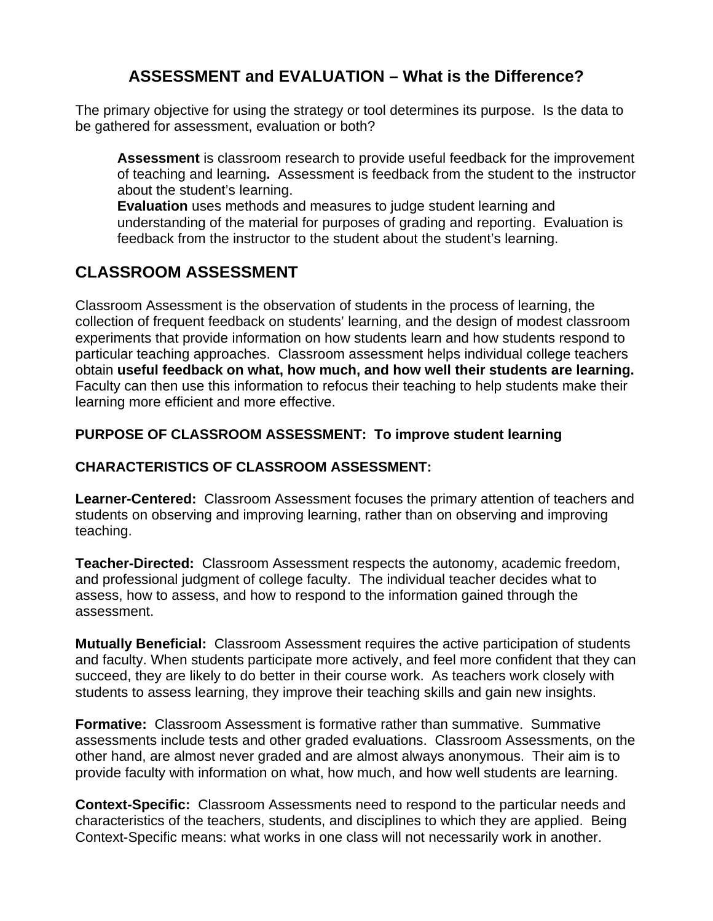# **ASSESSMENT and EVALUATION – What is the Difference?**

The primary objective for using the strategy or tool determines its purpose. Is the data to be gathered for assessment, evaluation or both?

 **Assessment** is classroom research to provide useful feedback for the improvement of teaching and learning**.** Assessment is feedback from the student to the instructor about the student's learning.

**Evaluation** uses methods and measures to judge student learning and understanding of the material for purposes of grading and reporting. Evaluation is feedback from the instructor to the student about the student's learning.

## **CLASSROOM ASSESSMENT**

Classroom Assessment is the observation of students in the process of learning, the collection of frequent feedback on students' learning, and the design of modest classroom experiments that provide information on how students learn and how students respond to particular teaching approaches. Classroom assessment helps individual college teachers obtain **useful feedback on what, how much, and how well their students are learning.** Faculty can then use this information to refocus their teaching to help students make their learning more efficient and more effective.

### **PURPOSE OF CLASSROOM ASSESSMENT: To improve student learning**

### **CHARACTERISTICS OF CLASSROOM ASSESSMENT:**

**Learner-Centered:** Classroom Assessment focuses the primary attention of teachers and students on observing and improving learning, rather than on observing and improving teaching.

**Teacher-Directed:** Classroom Assessment respects the autonomy, academic freedom, and professional judgment of college faculty. The individual teacher decides what to assess, how to assess, and how to respond to the information gained through the assessment.

**Mutually Beneficial:** Classroom Assessment requires the active participation of students and faculty. When students participate more actively, and feel more confident that they can succeed, they are likely to do better in their course work. As teachers work closely with students to assess learning, they improve their teaching skills and gain new insights.

**Formative:** Classroom Assessment is formative rather than summative. Summative assessments include tests and other graded evaluations. Classroom Assessments, on the other hand, are almost never graded and are almost always anonymous. Their aim is to provide faculty with information on what, how much, and how well students are learning.

**Context-Specific:** Classroom Assessments need to respond to the particular needs and characteristics of the teachers, students, and disciplines to which they are applied. Being Context-Specific means: what works in one class will not necessarily work in another.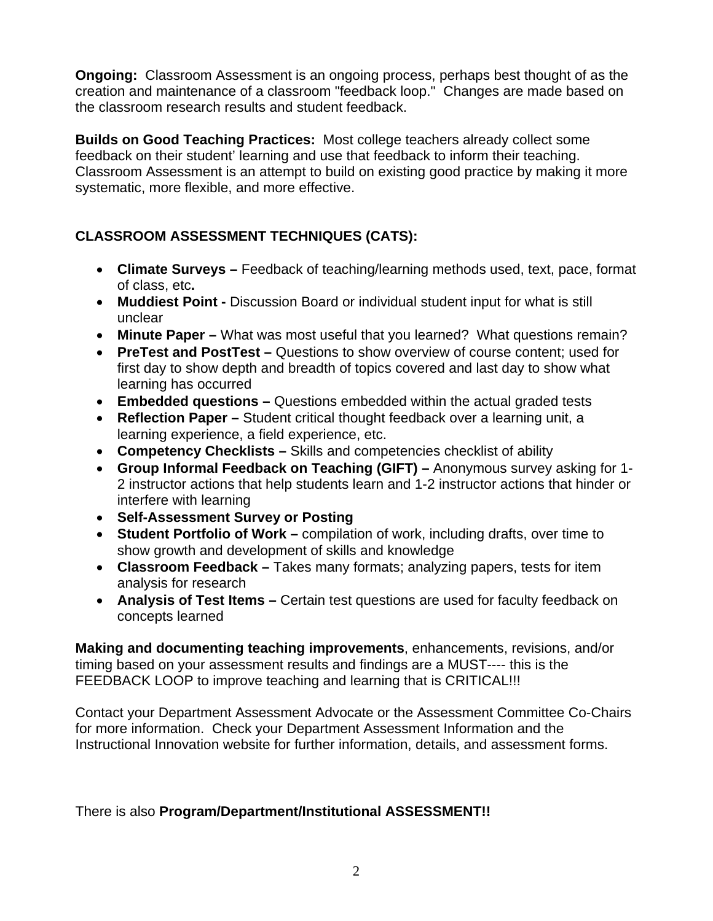**Ongoing:** Classroom Assessment is an ongoing process, perhaps best thought of as the creation and maintenance of a classroom "feedback loop." Changes are made based on the classroom research results and student feedback.

**Builds on Good Teaching Practices:** Most college teachers already collect some feedback on their student' learning and use that feedback to inform their teaching. Classroom Assessment is an attempt to build on existing good practice by making it more systematic, more flexible, and more effective.

### **CLASSROOM ASSESSMENT TECHNIQUES (CATS):**

- **Climate Surveys** Feedback of teaching/learning methods used, text, pace, format of class, etc**.**
- **Muddiest Point** Discussion Board or individual student input for what is still unclear
- **Minute Paper** What was most useful that you learned? What questions remain?
- **PreTest and PostTest** Questions to show overview of course content; used for first day to show depth and breadth of topics covered and last day to show what learning has occurred
- **Embedded questions** Questions embedded within the actual graded tests
- **Reflection Paper** Student critical thought feedback over a learning unit, a learning experience, a field experience, etc.
- **Competency Checklists** Skills and competencies checklist of ability
- **Group Informal Feedback on Teaching (GIFT)** Anonymous survey asking for 1- 2 instructor actions that help students learn and 1-2 instructor actions that hinder or interfere with learning
- **Self-Assessment Survey or Posting**
- **Student Portfolio of Work** compilation of work, including drafts, over time to show growth and development of skills and knowledge
- **Classroom Feedback** Takes many formats; analyzing papers, tests for item analysis for research
- **Analysis of Test Items** Certain test questions are used for faculty feedback on concepts learned

**Making and documenting teaching improvements**, enhancements, revisions, and/or timing based on your assessment results and findings are a MUST---- this is the FEEDBACK LOOP to improve teaching and learning that is CRITICAL!!!

Contact your Department Assessment Advocate or the Assessment Committee Co-Chairs for more information. Check your Department Assessment Information and the Instructional Innovation website for further information, details, and assessment forms.

### There is also **Program/Department/Institutional ASSESSMENT!!**